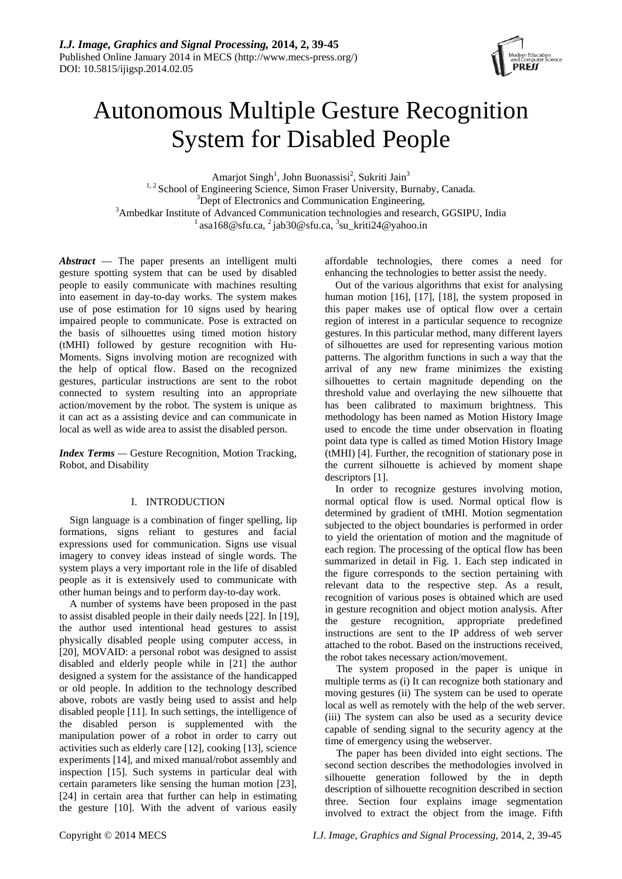

# Autonomous Multiple Gesture Recognition System for Disabled People

Amarjot Singh<sup>1</sup>, John Buonassisi<sup>2</sup>, Sukriti Jain<sup>3</sup> <sup>1, 2</sup> School of Engineering Science, Simon Fraser University, Burnaby, Canada. <sup>3</sup>Dept of Electronics and Communication Engineering, <sup>3</sup>Ambedkar Institute of Advanced Communication technologies and research, GGSIPU, India asa168@sfu.ca,  $^2$  jab30@sfu.ca,  $^3$ su kriti24@yahoo.in

*Abstract* — The paper presents an intelligent multi gesture spotting system that can be used by disabled people to easily communicate with machines resulting into easement in day-to-day works. The system makes use of pose estimation for 10 signs used by hearing impaired people to communicate. Pose is extracted on the basis of silhouettes using timed motion history (tMHI) followed by gesture recognition with Hu-Moments. Signs involving motion are recognized with the help of optical flow. Based on the recognized gestures, particular instructions are sent to the robot connected to system resulting into an appropriate action/movement by the robot. The system is unique as it can act as a assisting device and can communicate in local as well as wide area to assist the disabled person.

*Index Terms* — Gesture Recognition, Motion Tracking, Robot, and Disability

# I. INTRODUCTION

Sign language is a combination of finger spelling, lip formations, signs reliant to gestures and facial expressions used for communication. Signs use visual imagery to convey ideas instead of single words. The system plays a very important role in the life of disabled people as it is extensively used to communicate with other human beings and to perform day-to-day work.

A number of systems have been proposed in the past to assist disabled people in their daily needs [22]. In [19], the author used intentional head gestures to assist physically disabled people using computer access, in [20], MOVAID: a personal robot was designed to assist disabled and elderly people while in [21] the author designed a system for the assistance of the handicapped or old people. In addition to the technology described above, robots are vastly being used to assist and help disabled people [11]. In such settings, the intelligence of the disabled person is supplemented with the manipulation power of a robot in order to carry out activities such as elderly care [12], cooking [13], science experiments [14], and mixed manual/robot assembly and inspection [15]. Such systems in particular deal with certain parameters like sensing the human motion [23], [24] in certain area that further can help in estimating the gesture [10]. With the advent of various easily

affordable technologies, there comes a need for enhancing the technologies to better assist the needy.

Out of the various algorithms that exist for analysing human motion [16], [17], [18], the system proposed in this paper makes use of optical flow over a certain region of interest in a particular sequence to recognize gestures. In this particular method, many different layers of silhouettes are used for representing various motion patterns. The algorithm functions in such a way that the arrival of any new frame minimizes the existing silhouettes to certain magnitude depending on the threshold value and overlaying the new silhouette that has been calibrated to maximum brightness. This methodology has been named as Motion History Image used to encode the time under observation in floating point data type is called as timed Motion History Image (tMHI) [4]. Further, the recognition of stationary pose in the current silhouette is achieved by moment shape descriptors [1].

In order to recognize gestures involving motion, normal optical flow is used. Normal optical flow is determined by gradient of tMHI. Motion segmentation subjected to the object boundaries is performed in order to yield the orientation of motion and the magnitude of each region. The processing of the optical flow has been summarized in detail in Fig. 1. Each step indicated in the figure corresponds to the section pertaining with relevant data to the respective step. As a result, recognition of various poses is obtained which are used in gesture recognition and object motion analysis. After the gesture recognition, appropriate predefined instructions are sent to the IP address of web server attached to the robot. Based on the instructions received, the robot takes necessary action/movement.

The system proposed in the paper is unique in multiple terms as (i) It can recognize both stationary and moving gestures (ii) The system can be used to operate local as well as remotely with the help of the web server. (iii) The system can also be used as a security device capable of sending signal to the security agency at the time of emergency using the webserver.

The paper has been divided into eight sections. The second section describes the methodologies involved in silhouette generation followed by the in depth description of silhouette recognition described in section three. Section four explains image segmentation involved to extract the object from the image. Fifth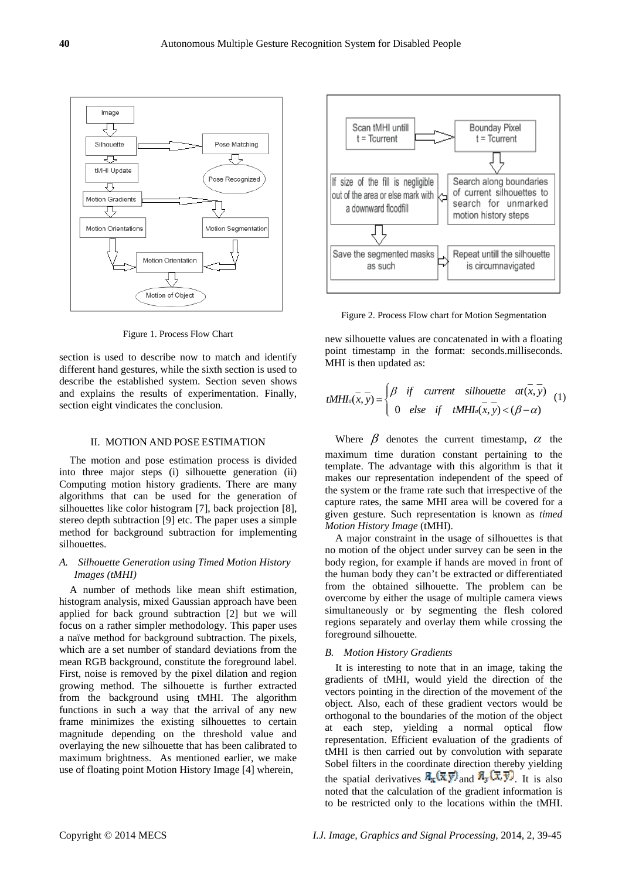

Figure 1. Process Flow Chart

section is used to describe now to match and identify different hand gestures, while the sixth section is used to describe the established system. Section seven shows and explains the results of experimentation. Finally, section eight vindicates the conclusion.

#### II. MOTION AND POSE ESTIMATION

The motion and pose estimation process is divided into three major steps (i) silhouette generation (ii) Computing motion history gradients. There are many algorithms that can be used for the generation of silhouettes like color histogram [7], back projection [8], stereo depth subtraction [9] etc. The paper uses a simple method for background subtraction for implementing silhouettes.

# *A. Silhouette Generation using Timed Motion History Images (tMHI)*

A number of methods like mean shift estimation, histogram analysis, mixed Gaussian approach have been applied for back ground subtraction [2] but we will focus on a rather simpler methodology. This paper uses a naïve method for background subtraction. The pixels, which are a set number of standard deviations from the mean RGB background, constitute the foreground label. First, noise is removed by the pixel dilation and region growing method. The silhouette is further extracted from the background using tMHI. The algorithm functions in such a way that the arrival of any new frame minimizes the existing silhouettes to certain magnitude depending on the threshold value and overlaying the new silhouette that has been calibrated to maximum brightness. As mentioned earlier, we make use of floating point Motion History Image [4] wherein,



Figure 2. Process Flow chart for Motion Segmentation

new silhouette values are concatenated in with a floating point timestamp in the format: seconds.milliseconds. MHI is then updated as:

$$
tMHI_{a}(x, y) = \begin{cases} \beta & \text{if} \quad current \quad silhouette \quad at(x, y) \\ 0 & \text{else} \quad \text{if} \quad tMHI_{a}(x, y) < (\beta - \alpha) \end{cases} (1)
$$

Where  $\beta$  denotes the current timestamp,  $\alpha$  the maximum time duration constant pertaining to the template. The advantage with this algorithm is that it makes our representation independent of the speed of the system or the frame rate such that irrespective of the capture rates, the same MHI area will be covered for a given gesture. Such representation is known as *timed Motion History Image* (tMHI).

A major constraint in the usage of silhouettes is that no motion of the object under survey can be seen in the body region, for example if hands are moved in front of the human body they can't be extracted or differentiated from the obtained silhouette. The problem can be overcome by either the usage of multiple camera views simultaneously or by segmenting the flesh colored regions separately and overlay them while crossing the foreground silhouette.

#### *B. Motion History Gradients*

It is interesting to note that in an image, taking the gradients of tMHI, would yield the direction of the vectors pointing in the direction of the movement of the object. Also, each of these gradient vectors would be orthogonal to the boundaries of the motion of the object at each step, yielding a normal optical flow representation. Efficient evaluation of the gradients of tMHI is then carried out by convolution with separate Sobel filters in the coordinate direction thereby yielding the spatial derivatives  $\mathbb{E}_{\mathbf{x}}(\overline{\mathbf{x}} \overline{\mathbf{y}})$  and  $\mathbb{E}_{\mathbf{y}}(\overline{\mathbf{x}} \overline{\mathbf{y}})$ . It is also noted that the calculation of the gradient information is to be restricted only to the locations within the tMHI.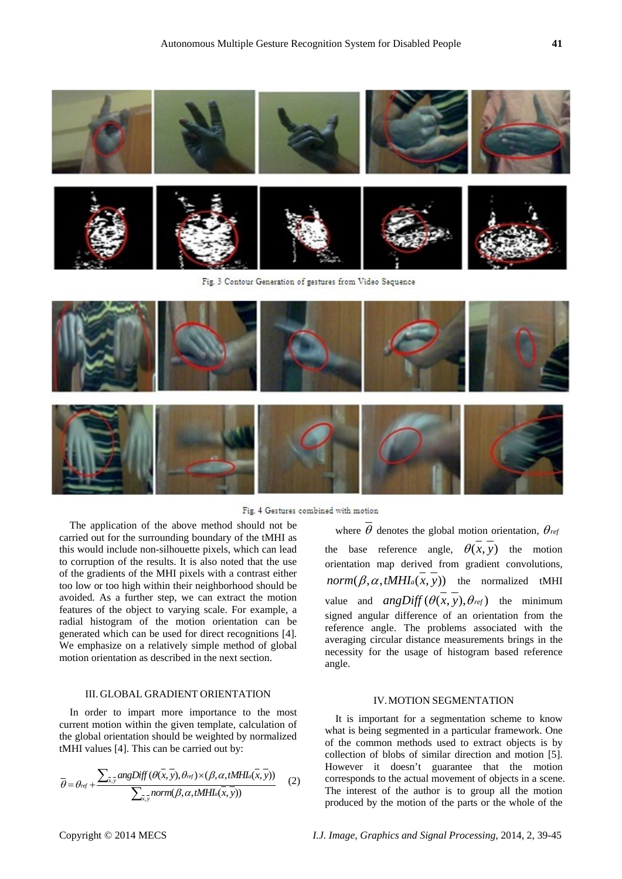

Fig. 3 Contour Generation of gestures from Video Sequence



Fig. 4 Gestures combined with motion

The application of the above method should not be carried out for the surrounding boundary of the tMHI as this would include non-silhouette pixels, which can lead to corruption of the results. It is also noted that the use of the gradients of the MHI pixels with a contrast either too low or too high within their neighborhood should be avoided. As a further step, we can extract the motion features of the object to varying scale. For example, a radial histogram of the motion orientation can be generated which can be used for direct recognitions [4]. We emphasize on a relatively simple method of global motion orientation as described in the next section.

# III. GLOBAL GRADIENT ORIENTATION

In order to impart more importance to the most current motion within the given template, calculation of the global orientation should be weighted by normalized tMHI values [4]. This can be carried out by:

$$
\overline{\theta} = \theta_{ref} + \frac{\sum_{\overline{x},\overline{y}} angDiff(\theta(\overline{x}, \overline{y}), \theta_{ref}) \times (\beta, \alpha, tMHI_{\alpha}(\overline{x}, \overline{y}))}{\sum_{\overline{x}, \overline{y}} norm(\beta, \alpha, tMHI_{\alpha}(\overline{x}, \overline{y}))}
$$
(2)

where  $\overline{\theta}$  denotes the global motion orientation,  $\theta_{ref}$ the base reference angle,  $\theta(x, y)$  the motion orientation map derived from gradient convolutions,  $norm(\beta, \alpha, tMHI_a(x, y))$  the normalized tMHI value and  $angDiff(\theta(x, y), \theta_{ref})$  the minimum signed angular difference of an orientation from the reference angle. The problems associated with the averaging circular distance measurements brings in the necessity for the usage of histogram based reference angle.

### IV.MOTION SEGMENTATION

It is important for a segmentation scheme to know what is being segmented in a particular framework. One of the common methods used to extract objects is by collection of blobs of similar direction and motion [5]. However it doesn't guarantee that the motion corresponds to the actual movement of objects in a scene. The interest of the author is to group all the motion produced by the motion of the parts or the whole of the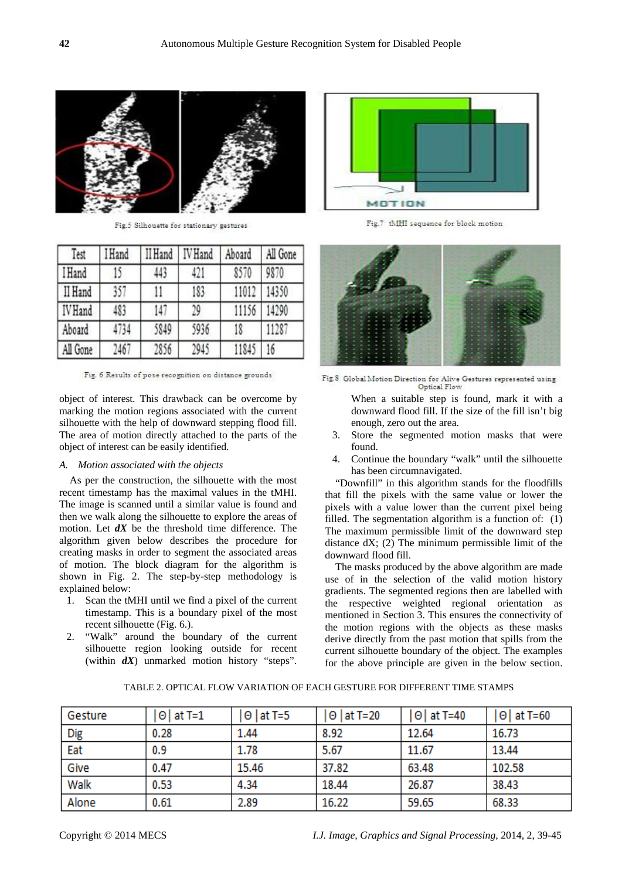

Fig.5 Silhouette for stationary gestures

| Test           | <b>Hand</b> | II Hand | <b>IV</b> Hand | Aboard | All Gone |
|----------------|-------------|---------|----------------|--------|----------|
| <b>I</b> Hand  | 15          | 443     | 421            | 8570   | 9870     |
| II Hand        | 357         | 11      | 183            | 11012  | 14350    |
| <b>IV</b> Hand | 483         | 147     | 29             | 11156  | 14290    |
| Aboard         | 4734        | 5849    | 5936           | 18     | 11287    |
| All Gone       | 2467        | 2856    | 2945           | 11845  | 16       |

Fig. 6 Results of pose recognition on distance grounds

object of interest. This drawback can be overcome by marking the motion regions associated with the current silhouette with the help of downward stepping flood fill. The area of motion directly attached to the parts of the object of interest can be easily identified.

## *A. Motion associated with the objects*

As per the construction, the silhouette with the most recent timestamp has the maximal values in the tMHI. The image is scanned until a similar value is found and then we walk along the silhouette to explore the areas of motion. Let *dX* be the threshold time difference. The algorithm given below describes the procedure for creating masks in order to segment the associated areas of motion. The block diagram for the algorithm is shown in Fig. 2. The step-by-step methodology is explained below:

- 1. Scan the tMHI until we find a pixel of the current timestamp. This is a boundary pixel of the most recent silhouette (Fig. 6.).
- 2. "Walk" around the boundary of the current silhouette region looking outside for recent (within *dX*) unmarked motion history "steps".



Fig.7 tMHI sequence for block motion



Fig.8 Global Motion Direction for Alive Gestures represented using Optical Flow

- When a suitable step is found, mark it with a downward flood fill. If the size of the fill isn't big enough, zero out the area.
- 3. Store the segmented motion masks that were found.
- 4. Continue the boundary "walk" until the silhouette has been circumnavigated.

"Downfill" in this algorithm stands for the floodfills that fill the pixels with the same value or lower the pixels with a value lower than the current pixel being filled. The segmentation algorithm is a function of: (1) The maximum permissible limit of the downward step distance  $dX$ ; (2) The minimum permissible limit of the downward flood fill.

The masks produced by the above algorithm are made use of in the selection of the valid motion history gradients. The segmented regions then are labelled with the respective weighted regional orientation as mentioned in Section 3. This ensures the connectivity of the motion regions with the objects as these masks derive directly from the past motion that spills from the current silhouette boundary of the object. The examples for the above principle are given in the below section.

| Gesture    | ⊝   at T=1 | ⊖   at T=5 | ⊝   at T=20 | $\Theta$ at T=40 | $\Theta$ at T=60 |
|------------|------------|------------|-------------|------------------|------------------|
| Dig<br>Eat | 0.28       | 1.44       | 8.92        | 12.64            | 16.73            |
|            | 0.9        | 1.78       | 5.67        | 11.67            | 13.44            |
| Give       | 0.47       | 15.46      | 37.82       | 63.48            | 102.58           |
| Walk       | 0.53       | 4.34       | 18.44       | 26.87            | 38.43            |
| Alone      | 0.61       | 2.89       | 16.22       | 59.65            | 68.33            |

TABLE 2. OPTICAL FLOW VARIATION OF EACH GESTURE FOR DIFFERENT TIME STAMPS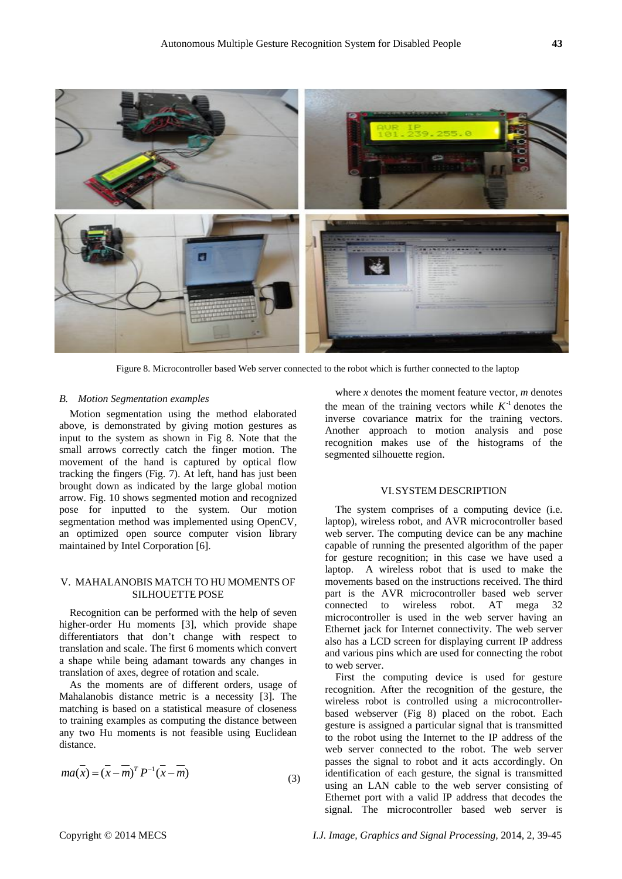

Figure 8. Microcontroller based Web server connected to the robot which is further connected to the laptop

#### *B. Motion Segmentation examples*

Motion segmentation using the method elaborated above, is demonstrated by giving motion gestures as input to the system as shown in Fig 8. Note that the small arrows correctly catch the finger motion. The movement of the hand is captured by optical flow tracking the fingers (Fig. 7). At left, hand has just been brought down as indicated by the large global motion arrow. Fig. 10 shows segmented motion and recognized pose for inputted to the system. Our motion segmentation method was implemented using OpenCV, an optimized open source computer vision library maintained by Intel Corporation [6].

# V. MAHALANOBIS MATCH TO HU MOMENTS OF SILHOUETTE POSE

Recognition can be performed with the help of seven higher-order Hu moments [3], which provide shape differentiators that don't change with respect to translation and scale. The first 6 moments which convert a shape while being adamant towards any changes in translation of axes, degree of rotation and scale.

As the moments are of different orders, usage of Mahalanobis distance metric is a necessity [3]. The matching is based on a statistical measure of closeness to training examples as computing the distance between any two Hu moments is not feasible using Euclidean distance.

$$
ma(x) = (x - m)^T P^{-1} (x - m)
$$
\n(3)

where *x* denotes the moment feature vector, *m* denotes the mean of the training vectors while  $K^{-1}$  denotes the inverse covariance matrix for the training vectors. Another approach to motion analysis and pose recognition makes use of the histograms of the segmented silhouette region.

## VI.SYSTEM DESCRIPTION

The system comprises of a computing device (i.e. laptop), wireless robot, and AVR microcontroller based web server. The computing device can be any machine capable of running the presented algorithm of the paper for gesture recognition; in this case we have used a laptop. A wireless robot that is used to make the movements based on the instructions received. The third part is the AVR microcontroller based web server connected to wireless robot. AT mega 32 microcontroller is used in the web server having an Ethernet jack for Internet connectivity. The web server also has a LCD screen for displaying current IP address and various pins which are used for connecting the robot to web server.

First the computing device is used for gesture recognition. After the recognition of the gesture, the wireless robot is controlled using a microcontrollerbased webserver (Fig 8) placed on the robot. Each gesture is assigned a particular signal that is transmitted to the robot using the Internet to the IP address of the web server connected to the robot. The web server passes the signal to robot and it acts accordingly. On identification of each gesture, the signal is transmitted using an LAN cable to the web server consisting of Ethernet port with a valid IP address that decodes the signal. The microcontroller based web server is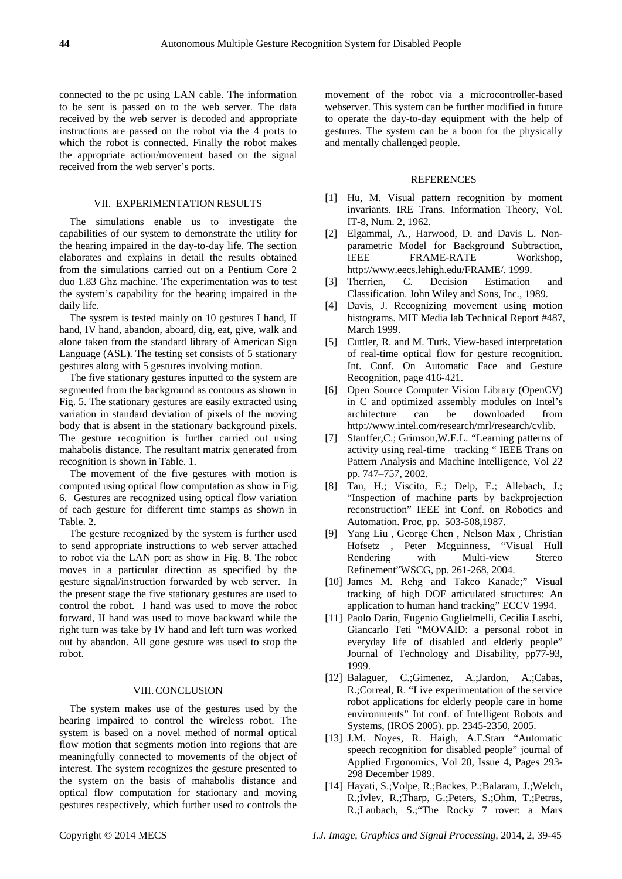connected to the pc using LAN cable. The information to be sent is passed on to the web server. The data received by the web server is decoded and appropriate instructions are passed on the robot via the 4 ports to which the robot is connected. Finally the robot makes the appropriate action/movement based on the signal received from the web server's ports.

## VII. EXPERIMENTATION RESULTS

The simulations enable us to investigate the capabilities of our system to demonstrate the utility for the hearing impaired in the day-to-day life. The section elaborates and explains in detail the results obtained from the simulations carried out on a Pentium Core 2 duo 1.83 Ghz machine. The experimentation was to test the system's capability for the hearing impaired in the daily life.

The system is tested mainly on 10 gestures I hand, II hand, IV hand, abandon, aboard, dig, eat, give, walk and alone taken from the standard library of American Sign Language (ASL). The testing set consists of 5 stationary gestures along with 5 gestures involving motion.

The five stationary gestures inputted to the system are segmented from the background as contours as shown in Fig. 5. The stationary gestures are easily extracted using variation in standard deviation of pixels of the moving body that is absent in the stationary background pixels. The gesture recognition is further carried out using mahabolis distance. The resultant matrix generated from recognition is shown in Table. 1.

The movement of the five gestures with motion is computed using optical flow computation as show in Fig. 6. Gestures are recognized using optical flow variation of each gesture for different time stamps as shown in Table. 2.

The gesture recognized by the system is further used to send appropriate instructions to web server attached to robot via the LAN port as show in Fig. 8. The robot moves in a particular direction as specified by the gesture signal/instruction forwarded by web server. In the present stage the five stationary gestures are used to control the robot. I hand was used to move the robot forward, II hand was used to move backward while the right turn was take by IV hand and left turn was worked out by abandon. All gone gesture was used to stop the robot.

#### VIII.CONCLUSION

The system makes use of the gestures used by the hearing impaired to control the wireless robot. The system is based on a novel method of normal optical flow motion that segments motion into regions that are meaningfully connected to movements of the object of interest. The system recognizes the gesture presented to the system on the basis of mahabolis distance and optical flow computation for stationary and moving gestures respectively, which further used to controls the

movement of the robot via a microcontroller-based webserver. This system can be further modified in future to operate the day-to-day equipment with the help of gestures. The system can be a boon for the physically and mentally challenged people.

## **REFERENCES**

- [1] Hu, M. Visual pattern recognition by moment invariants. IRE Trans. Information Theory, Vol. IT-8, Num. 2, 1962.
- [2] Elgammal, A., Harwood, D. and Davis L. Nonparametric Model for Background Subtraction, IEEE FRAME-RATE Workshop, http://www.eecs.lehigh.edu/FRAME/. 1999.
- [3] Therrien, C. Decision Estimation and Classification. John Wiley and Sons, Inc., 1989.
- [4] Davis, J. Recognizing movement using motion histograms. MIT Media lab Technical Report #487, March 1999.
- [5] Cuttler, R. and M. Turk. View-based interpretation of real-time optical flow for gesture recognition. Int. Conf. On Automatic Face and Gesture Recognition, page 416-421.
- [6] Open Source Computer Vision Library (OpenCV) in C and optimized assembly modules on Intel's architecture can be downloaded from http://www.intel.com/research/mrl/research/cvlib.
- [7] Stauffer,C.; Grimson,W.E.L. "Learning patterns of activity using real-time tracking " IEEE Trans on Pattern Analysis and Machine Intelligence, Vol 22 pp. 747–757, 2002.
- [8] Tan, H.; Viscito, E.; Delp, E.; Allebach, J.; "Inspection of machine parts by backprojection reconstruction" IEEE int Conf. on Robotics and Automation. Proc, pp. 503-508,1987.
- [9] Yang Liu , George Chen , Nelson Max , Christian Hofsetz , Peter Mcguinness, "Visual Hull Rendering with Multi-view Stereo Refinement"WSCG, pp. 261-268, 2004.
- [10] James M. Rehg and Takeo Kanade;" Visual tracking of high DOF articulated structures: An application to human hand tracking" ECCV 1994.
- [11] Paolo Dario, Eugenio Guglielmelli, Cecilia Laschi, Giancarlo Teti "MOVAID: a personal robot in everyday life of disabled and elderly people" Journal of Technology and Disability, pp77-93, 1999.
- [12] Balaguer, C.;Gimenez, A.;Jardon, A.;Cabas, R.;Correal, R. "Live experimentation of the service robot applications for elderly people care in home environments" Int conf. of Intelligent Robots and Systems, (IROS 2005). pp. 2345-2350, 2005.
- [13] J.M. Noyes, R. Haigh, A.F.Starr "Automatic speech recognition for disabled people" journal of Applied Ergonomics, Vol 20, Issue 4, Pages 293- 298 December 1989.
- [14] Hayati, S.;Volpe, R.;Backes, P.;Balaram, J.;Welch, R.;Ivlev, R.;Tharp, G.;Peters, S.;Ohm, T.;Petras, R.;Laubach, S.;"The Rocky 7 rover: a Mars